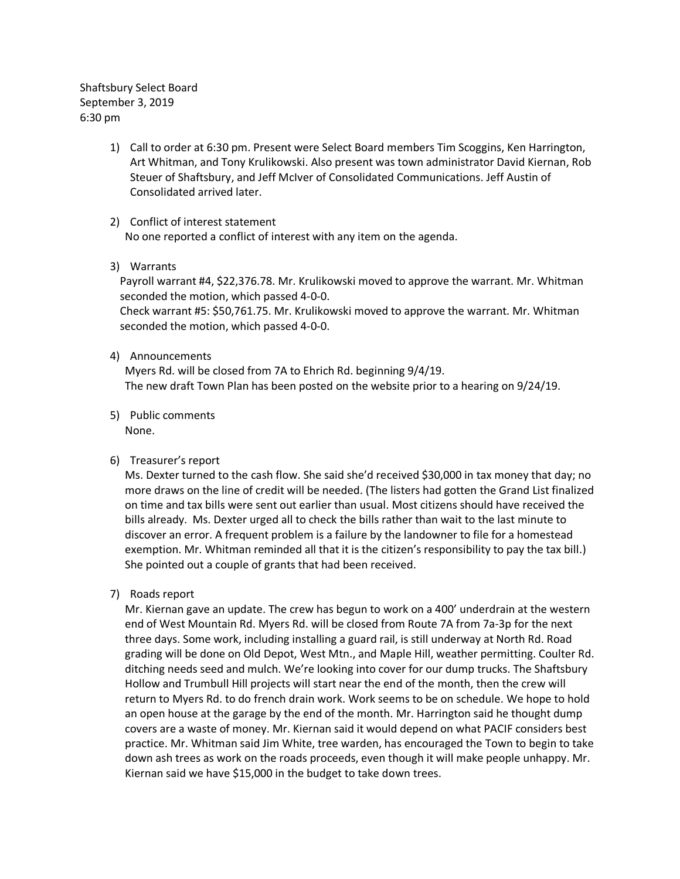Shaftsbury Select Board September 3, 2019 6:30 pm

- 1) Call to order at 6:30 pm. Present were Select Board members Tim Scoggins, Ken Harrington, Art Whitman, and Tony Krulikowski. Also present was town administrator David Kiernan, Rob Steuer of Shaftsbury, and Jeff McIver of Consolidated Communications. Jeff Austin of Consolidated arrived later.
- 2) Conflict of interest statement No one reported a conflict of interest with any item on the agenda.
- 3) Warrants

Payroll warrant #4, \$22,376.78. Mr. Krulikowski moved to approve the warrant. Mr. Whitman seconded the motion, which passed 4-0-0.

Check warrant #5: \$50,761.75. Mr. Krulikowski moved to approve the warrant. Mr. Whitman seconded the motion, which passed 4-0-0.

4) Announcements

Myers Rd. will be closed from 7A to Ehrich Rd. beginning 9/4/19. The new draft Town Plan has been posted on the website prior to a hearing on 9/24/19.

5) Public comments None.

## 6) Treasurer's report

Ms. Dexter turned to the cash flow. She said she'd received \$30,000 in tax money that day; no more draws on the line of credit will be needed. (The listers had gotten the Grand List finalized on time and tax bills were sent out earlier than usual. Most citizens should have received the bills already. Ms. Dexter urged all to check the bills rather than wait to the last minute to discover an error. A frequent problem is a failure by the landowner to file for a homestead exemption. Mr. Whitman reminded all that it is the citizen's responsibility to pay the tax bill.) She pointed out a couple of grants that had been received.

7) Roads report

Mr. Kiernan gave an update. The crew has begun to work on a 400' underdrain at the western end of West Mountain Rd. Myers Rd. will be closed from Route 7A from 7a-3p for the next three days. Some work, including installing a guard rail, is still underway at North Rd. Road grading will be done on Old Depot, West Mtn., and Maple Hill, weather permitting. Coulter Rd. ditching needs seed and mulch. We're looking into cover for our dump trucks. The Shaftsbury Hollow and Trumbull Hill projects will start near the end of the month, then the crew will return to Myers Rd. to do french drain work. Work seems to be on schedule. We hope to hold an open house at the garage by the end of the month. Mr. Harrington said he thought dump covers are a waste of money. Mr. Kiernan said it would depend on what PACIF considers best practice. Mr. Whitman said Jim White, tree warden, has encouraged the Town to begin to take down ash trees as work on the roads proceeds, even though it will make people unhappy. Mr. Kiernan said we have \$15,000 in the budget to take down trees.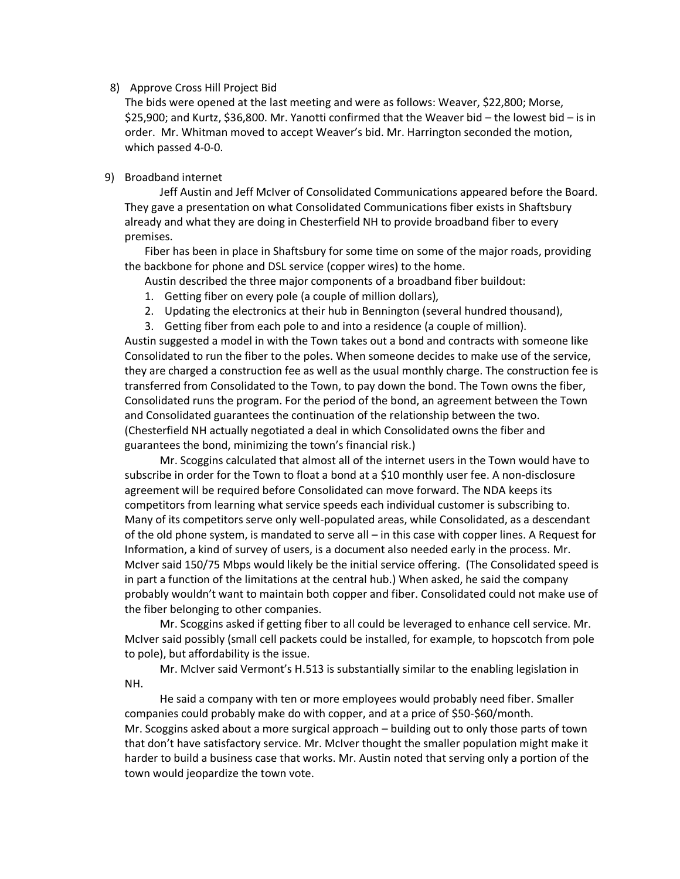## 8) Approve Cross Hill Project Bid

The bids were opened at the last meeting and were as follows: Weaver, \$22,800; Morse, \$25,900; and Kurtz, \$36,800. Mr. Yanotti confirmed that the Weaver bid – the lowest bid – is in order. Mr. Whitman moved to accept Weaver's bid. Mr. Harrington seconded the motion, which passed 4-0-0.

## 9) Broadband internet

Jeff Austin and Jeff McIver of Consolidated Communications appeared before the Board. They gave a presentation on what Consolidated Communications fiber exists in Shaftsbury already and what they are doing in Chesterfield NH to provide broadband fiber to every premises.

Fiber has been in place in Shaftsbury for some time on some of the major roads, providing the backbone for phone and DSL service (copper wires) to the home.

Austin described the three major components of a broadband fiber buildout:

- 1. Getting fiber on every pole (a couple of million dollars),
- 2. Updating the electronics at their hub in Bennington (several hundred thousand),
- 3. Getting fiber from each pole to and into a residence (a couple of million).

Austin suggested a model in with the Town takes out a bond and contracts with someone like Consolidated to run the fiber to the poles. When someone decides to make use of the service, they are charged a construction fee as well as the usual monthly charge. The construction fee is transferred from Consolidated to the Town, to pay down the bond. The Town owns the fiber, Consolidated runs the program. For the period of the bond, an agreement between the Town and Consolidated guarantees the continuation of the relationship between the two. (Chesterfield NH actually negotiated a deal in which Consolidated owns the fiber and guarantees the bond, minimizing the town's financial risk.)

Mr. Scoggins calculated that almost all of the internet users in the Town would have to subscribe in order for the Town to float a bond at a \$10 monthly user fee. A non-disclosure agreement will be required before Consolidated can move forward. The NDA keeps its competitors from learning what service speeds each individual customer is subscribing to. Many of its competitors serve only well-populated areas, while Consolidated, as a descendant of the old phone system, is mandated to serve all – in this case with copper lines. A Request for Information, a kind of survey of users, is a document also needed early in the process. Mr. McIver said 150/75 Mbps would likely be the initial service offering. (The Consolidated speed is in part a function of the limitations at the central hub.) When asked, he said the company probably wouldn't want to maintain both copper and fiber. Consolidated could not make use of the fiber belonging to other companies.

Mr. Scoggins asked if getting fiber to all could be leveraged to enhance cell service. Mr. McIver said possibly (small cell packets could be installed, for example, to hopscotch from pole to pole), but affordability is the issue.

Mr. McIver said Vermont's H.513 is substantially similar to the enabling legislation in NH.

He said a company with ten or more employees would probably need fiber. Smaller companies could probably make do with copper, and at a price of \$50-\$60/month. Mr. Scoggins asked about a more surgical approach – building out to only those parts of town that don't have satisfactory service. Mr. McIver thought the smaller population might make it harder to build a business case that works. Mr. Austin noted that serving only a portion of the town would jeopardize the town vote.